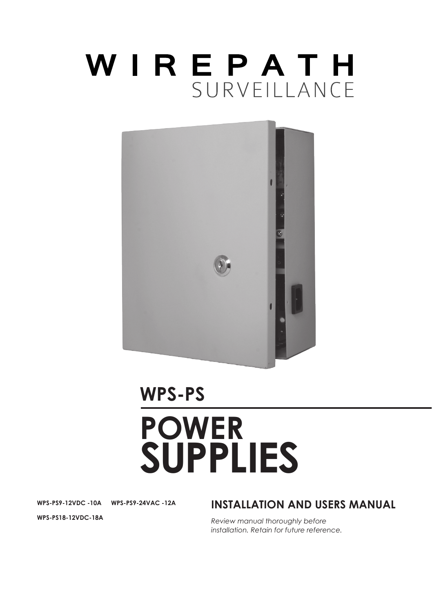# WIREPATH SURVEILLANCE



# **WPS-PS**

# **POWER SUPPLIES**

**WPS-PS9-12VDC -10A WPS-PS9-24VAC -12A** 

## **INSTALLATION AND USERS MANUAL**

*Review manual thoroughly before installation. Retain for future reference.*

**WPS-PS18-12VDC-18A**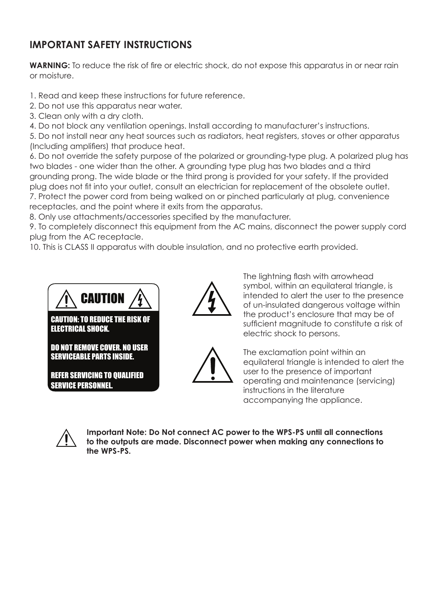# **IMPORTANT SAFETY INSTRUCTIONS**

**WARNING:** To reduce the risk of fire or electric shock, do not expose this apparatus in or near rain or moisture.

- 1. Read and keep these instructions for future reference.
- 2. Do not use this apparatus near water.
- 3. Clean only with a dry cloth.
- 4. Do not block any ventilation openings. Install according to manufacturer's instructions.

5. Do not install near any heat sources such as radiators, heat registers, stoves or other apparatus (Including amplifiers) that produce heat.

6. Do not override the safety purpose of the polarized or grounding-type plug. A polarized plug has two blades - one wider than the other. A grounding type plug has two blades and a third grounding prong. The wide blade or the third prong is provided for your safety. If the provided plug does not fit into your outlet, consult an electrician for replacement of the obsolete outlet. 7. Protect the power cord from being walked on or pinched particularly at plug, convenience receptacles, and the point where it exits from the apparatus.

8. Only use attachments/accessories specified by the manufacturer.

9. To completely disconnect this equipment from the AC mains, disconnect the power supply cord plug from the AC receptacle.

10. This is CLASS II apparatus with double insulation, and no protective earth provided.



CAUTION: TO REDUCE THE RISK OF ELECTRICAL SHOCK.

DO NOT REMOVE COVER. NO USER SERVICEABLE PARTS INSIDE.

REFER SERVICING TO QUALIFIED SERVICE PERSONNEL.



The lightning flash with arrowhead symbol, within an equilateral triangle, is intended to alert the user to the presence of un-insulated dangerous voltage within the product's enclosure that may be of sufficient magnitude to constitute a risk of electric shock to persons.



The exclamation point within an equilateral triangle is intended to alert the user to the presence of important operating and maintenance (servicing) instructions in the literature accompanying the appliance.



**Important Note: Do Not connect AC power to the WPS-PS until all connections to the outputs are made. Disconnect power when making any connections to the WPS-PS.**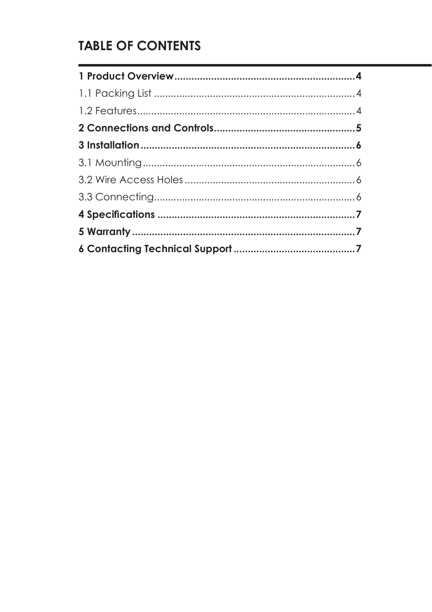# **TABLE OF CONTENTS**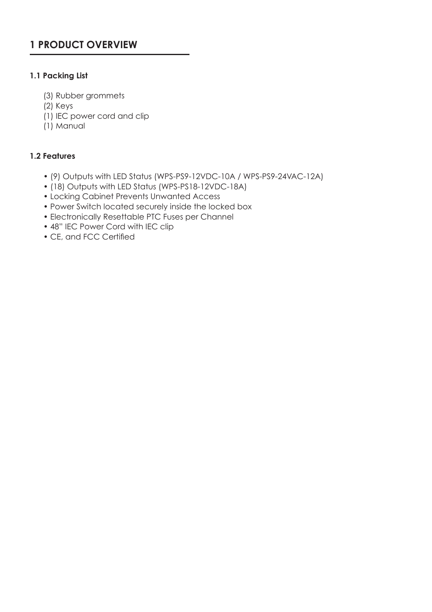# **1 PRODUCT OVERVIEW**

#### **1.1 Packing List**

- (3) Rubber grommets
- (2) Keys
- (1) IEC power cord and clip
- (1) Manual

#### **1.2 Features**

- (9) Outputs with LED Status (WPS-PS9-12VDC-10A / WPS-PS9-24VAC-12A)
- (18) Outputs with LED Status (WPS-PS18-12VDC-18A)
- Locking Cabinet Prevents Unwanted Access
- Power Switch located securely inside the locked box
- Electronically Resettable PTC Fuses per Channel
- 48" IEC Power Cord with IEC clip
- CE, and FCC Certified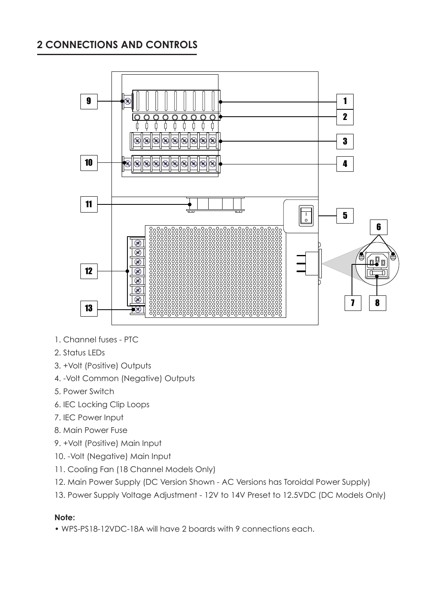# **2 CONNECTIONS AND CONTROLS**



- 1. Channel fuses PTC
- 2. Status LEDs
- 3. +Volt (Positive) Outputs
- 4. -Volt Common (Negative) Outputs
- 5. Power Switch
- 6. IEC Locking Clip Loops
- 7. IEC Power Input
- 8. Main Power Fuse
- 9. +Volt (Positive) Main Input
- 10. -Volt (Negative) Main Input
- 11. Cooling Fan (18 Channel Models Only)
- 12. Main Power Supply (DC Version Shown AC Versions has Toroidal Power Supply)
- 13. Power Supply Voltage Adjustment 12V to 14V Preset to 12.5VDC (DC Models Only)

#### **Note:**

• WPS-PS18-12VDC-18A will have 2 boards with 9 connections each.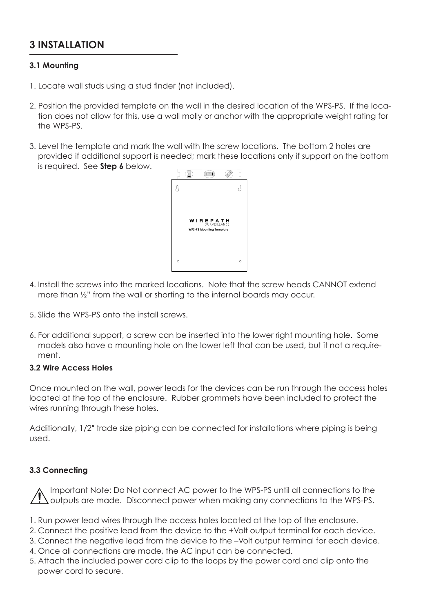# **3 INSTALLATION**

#### **3.1 Mounting**

- 1. Locate wall studs using a stud finder (not included).
- 2. Position the provided template on the wall in the desired location of the WPS-PS. If the location does not allow for this, use a wall molly or anchor with the appropriate weight rating for the WPS-PS.
- 3. Level the template and mark the wall with the screw locations. The bottom 2 holes are provided if additional support is needed; mark these locations only if support on the bottom is required. See **Step 6** below.



- 4. Install the screws into the marked locations. Note that the screw heads CANNOT extend more than ½" from the wall or shorting to the internal boards may occur.
- 5. Slide the WPS-PS onto the install screws.
- 6. For additional support, a screw can be inserted into the lower right mounting hole. Some models also have a mounting hole on the lower left that can be used, but it not a requirement.

#### **3.2 Wire Access Holes**

Once mounted on the wall, power leads for the devices can be run through the access holes located at the top of the enclosure. Rubber grommets have been included to protect the wires running through these holes.

Additionally, 1/2" trade size piping can be connected for installations where piping is being used.

#### **3.3 Connecting**

Important Note: Do Not connect AC power to the WPS-PS until all connections to the outputs are made. Disconnect power when making any connections to the WPS-PS.

- 1. Run power lead wires through the access holes located at the top of the enclosure.
- 2. Connect the positive lead from the device to the +Volt output terminal for each device.
- 3. Connect the negative lead from the device to the –Volt output terminal for each device.
- 4. Once all connections are made, the AC input can be connected.
- 5. Attach the included power cord clip to the loops by the power cord and clip onto the power cord to secure.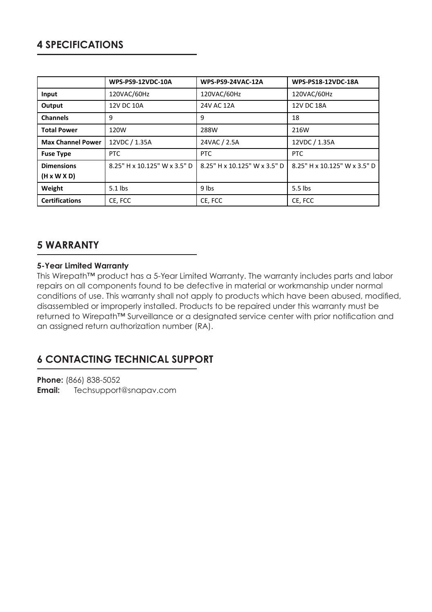|                          | <b>WPS-PS9-12VDC-10A</b>     | <b>WPS-PS9-24VAC-12A</b>     | WPS-PS18-12VDC-18A           |
|--------------------------|------------------------------|------------------------------|------------------------------|
| Input                    | 120VAC/60Hz                  | 120VAC/60Hz                  | 120VAC/60Hz                  |
| Output                   | 12V DC 10A                   | 24V AC 12A                   | 12V DC 18A                   |
| Channels                 | 9                            | 9                            | 18                           |
| <b>Total Power</b>       | 120W                         | 288W                         | 216W                         |
| <b>Max Channel Power</b> | 12VDC / 1.35A                | 24VAC / 2.5A                 | 12VDC / 1.35A                |
| <b>Fuse Type</b>         | PTC                          | PTC                          | PTC                          |
| <b>Dimensions</b>        | 8.25" H x 10.125" W x 3.5" D | 8.25" H x 10.125" W x 3.5" D | 8.25" H x 10.125" W x 3.5" D |
| $(H \times W \times D)$  |                              |                              |                              |
| Weight                   | $5.1$ lbs                    | 9 lbs                        | 5.5 lbs                      |
| <b>Certifications</b>    | CE, FCC                      | CE, FCC                      | CE, FCC                      |

## **5 WARRANTY**

### **5-Year Limited Warranty**

This Wirepath™ product has a 5-Year Limited Warranty. The warranty includes parts and labor repairs on all components found to be defective in material or workmanship under normal conditions of use. This warranty shall not apply to products which have been abused, modified, disassembled or improperly installed. Products to be repaired under this warranty must be returned to Wirepath™ Surveillance or a designated service center with prior notification and an assigned return authorization number (RA).

# **6 CONTACTING TECHNICAL SUPPORT**

**Phone:** (866) 838-5052 **Email:** Techsupport@snapav.com